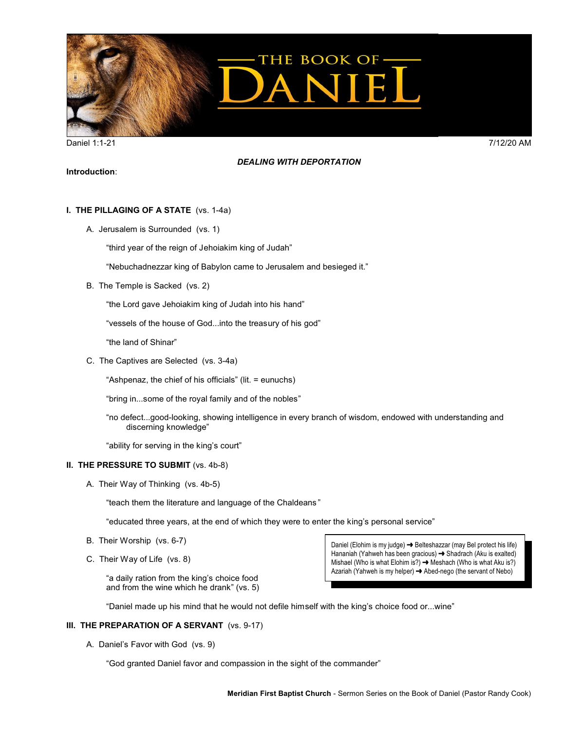

Daniel 1:1-21 7/12/20 AM

### *DEALING WITH DEPORTATION*

## **Introduction**:

# **I. THE PILLAGING OF A STATE** (vs. 1-4a)

A. Jerusalem is Surrounded (vs. 1)

"third year of the reign of Jehoiakim king of Judah"

"Nebuchadnezzar king of Babylon came to Jerusalem and besieged it."

B. The Temple is Sacked (vs. 2)

"the Lord gave Jehoiakim king of Judah into his hand"

"vessels of the house of God...into the treasury of his god"

"the land of Shinar"

C. The Captives are Selected (vs. 3-4a)

"Ashpenaz, the chief of his officials" (lit. = eunuchs)

"bring in...some of the royal family and of the nobles"

"no defect...good-looking, showing intelligence in every branch of wisdom, endowed with understanding and discerning knowledge"

"ability for serving in the king's court"

#### **II. THE PRESSURE TO SUBMIT** (vs. 4b-8)

A. Their Way of Thinking (vs. 4b-5)

"teach them the literature and language of the Chaldeans "

"educated three years, at the end of which they were to enter the king's personal service"

- B. Their Worship (vs. 6-7)
- C. Their Way of Life (vs. 8)

"a daily ration from the king's choice food and from the wine which he drank" (vs. 5)

Daniel (Elohim is my judge) → Belteshazzar (may Bel protect his life) Hananiah (Yahweh has been gracious)  $\rightarrow$  Shadrach (Aku is exalted) Mishael (Who is what Elohim is?)  $\rightarrow$  Meshach (Who is what Aku is?) Azariah (Yahweh is my helper)  $\rightarrow$  Abed-nego (the servant of Nebo)

"Daniel made up his mind that he would not defile himself with the king's choice food or...wine"

## **III. THE PREPARATION OF A SERVANT** (vs. 9-17)

A. Daniel's Favor with God (vs. 9)

"God granted Daniel favor and compassion in the sight of the commander"